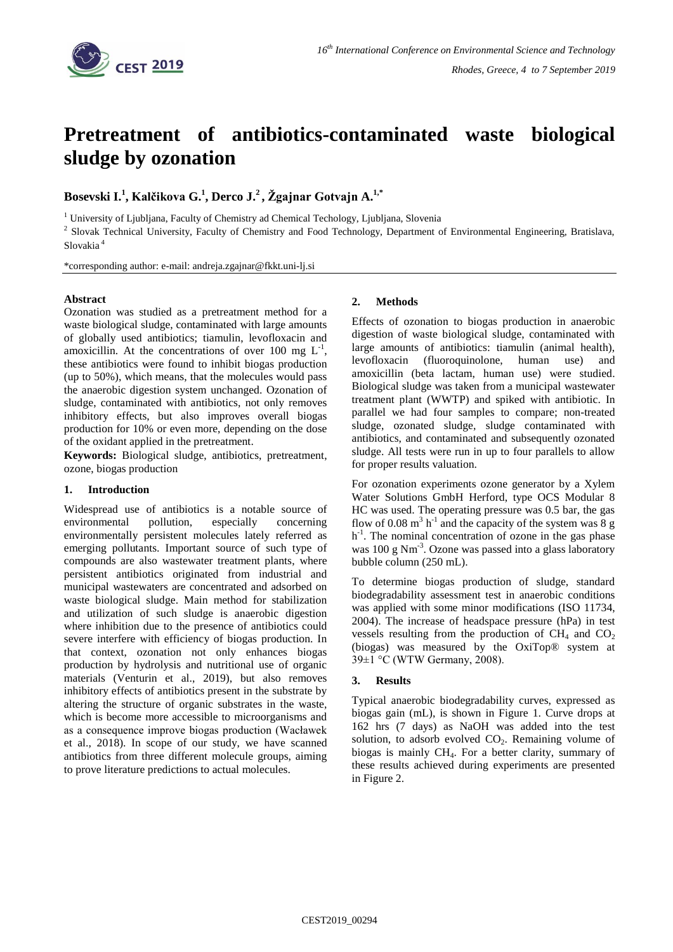

# **Pretreatment of antibiotics-contaminated waste biological sludge by ozonation**

**Bosevski I. 1 , Kalčikova G. 1 , Derco J. 2 , Žgajnar Gotvajn A. 1,\***

<sup>1</sup> University of Ljubljana, Faculty of Chemistry ad Chemical Techology, Ljubljana, Slovenia

<sup>2</sup> Slovak Technical University, Faculty of Chemistry and Food Technology, Department of Environmental Engineering, Bratislava, Slovakia <sup>4</sup>

\*corresponding author: e-mail: andreja.zgajnar@fkkt.uni-lj.si

## **Abstract**

Ozonation was studied as a pretreatment method for a waste biological sludge, contaminated with large amounts of globally used antibiotics; tiamulin, levofloxacin and amoxicillin. At the concentrations of over 100 mg  $L^{-1}$ , these antibiotics were found to inhibit biogas production (up to 50%), which means, that the molecules would pass the anaerobic digestion system unchanged. Ozonation of sludge, contaminated with antibiotics, not only removes inhibitory effects, but also improves overall biogas production for 10% or even more, depending on the dose of the oxidant applied in the pretreatment.

**Keywords:** Biological sludge, antibiotics, pretreatment, ozone, biogas production

# **1. Introduction**

Widespread use of antibiotics is a notable source of environmental pollution, especially concerning environmentally persistent molecules lately referred as emerging pollutants. Important source of such type of compounds are also wastewater treatment plants, where persistent antibiotics originated from industrial and municipal wastewaters are concentrated and adsorbed on waste biological sludge. Main method for stabilization and utilization of such sludge is anaerobic digestion where inhibition due to the presence of antibiotics could severe interfere with efficiency of biogas production. In that context, ozonation not only enhances biogas production by hydrolysis and nutritional use of organic materials (Venturin et al., 2019), but also removes inhibitory effects of antibiotics present in the substrate by altering the structure of organic substrates in the waste, which is become more accessible to microorganisms and as a consequence improve biogas production (Wacławek et al., 2018). In scope of our study, we have scanned antibiotics from three different molecule groups, aiming to prove literature predictions to actual molecules.

# **2. Methods**

Effects of ozonation to biogas production in anaerobic digestion of waste biological sludge, contaminated with large amounts of antibiotics: tiamulin (animal health), levofloxacin (fluoroquinolone, human use) and amoxicillin (beta lactam, human use) were studied. Biological sludge was taken from a municipal wastewater treatment plant (WWTP) and spiked with antibiotic. In parallel we had four samples to compare; non-treated sludge, ozonated sludge, sludge contaminated with antibiotics, and contaminated and subsequently ozonated sludge. All tests were run in up to four parallels to allow for proper results valuation.

For ozonation experiments ozone generator by a Xylem Water Solutions GmbH Herford, type OCS Modular 8 HC was used. The operating pressure was 0.5 bar, the gas flow of 0.08  $m^3$  h<sup>-1</sup> and the capacity of the system was  $\overline{8}$  g h<sup>-1</sup>. The nominal concentration of ozone in the gas phase was 100 g Nm<sup>-3</sup>. Ozone was passed into a glass laboratory bubble column (250 mL).

To determine biogas production of sludge, standard biodegradability assessment test in anaerobic conditions was applied with some minor modifications (ISO 11734, 2004). The increase of headspace pressure (hPa) in test vessels resulting from the production of  $CH<sub>4</sub>$  and  $CO<sub>2</sub>$ (biogas) was measured by the OxiTop® system at 39±1 °C (WTW Germany, 2008).

## **3. Results**

Typical anaerobic biodegradability curves, expressed as biogas gain (mL), is shown in Figure 1. Curve drops at 162 hrs (7 days) as NaOH was added into the test solution, to adsorb evolved  $CO<sub>2</sub>$ . Remaining volume of biogas is mainly  $CH<sub>4</sub>$ . For a better clarity, summary of these results achieved during experiments are presented in Figure 2.